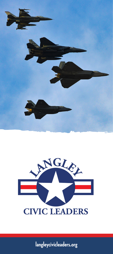



**langleycivicleaders.org**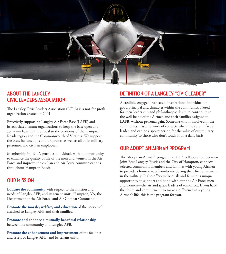

## **ABOUT THE LANGLEY CIVIC LEADERS ASSOCIATION**

The Langley Civic Leaders Association (LCLA) is a not-for-profit organization created in 2001.

Effectively supporting Langley Air Force Base (LAFB) and its associated tenant organizations to keep the base open and active—a base that is critical to the economy of the Hampton Roads region and the Commonwealth of Virginia. We support the base, its functions and programs, as well as all of its military personnel and civilian employees.

Membership in LCLA provides individuals with an opportunity to enhance the quality of life of the men and women in the Air Force and improve the civilian and Air Force communications throughout Hampton Roads.

#### **OUR MISSION**

**Educate the community** with respect to the mission and needs of Langley AFB, and its tenant units: Hampton, VA, the Department of the Air Force, and Air Combat Command.

**Promote the morale, welfare, and education** of the personnel attached to Langley AFB and their families.

**Promote and enhance a mutually beneficial relationship**  between the community and Langley AFB.

**Promote the enhancement and improvement** of the facilities and assets of Langley AFB, and its tenant units.

# **DEFINITION OF A LANGLEY "CIVIC LEADER"**

A credible, engaged, respected, inspirational individual of good principal and character within the community. Noted for their leadership and philanthropic desire to contribute to the well-being of the Airmen and their families assigned to LAFB, without personal gain. Someone who is involved in the community, has a network of contacts where they are in fact a leader, and can be a spokesperson for the value of our military community to those who don't touch it on a daily basis.

### **OUR ADOPT AN AIRMAN PROGRAM**

The "Adopt an Airman" program, a LCLA collaboration between Joint Base Langley-Eustis and the City of Hampton, connects selected community members and families with young Airmen to provide a home-away-from-home during their first enlistment in the military. It also offers individuals and families a unique opportunity to support and bond with our fine Air Force men and women—the air and space leaders of tomorrow. If you have the desire and commitment to make a difference in a young Airman's life, this is the program for you.